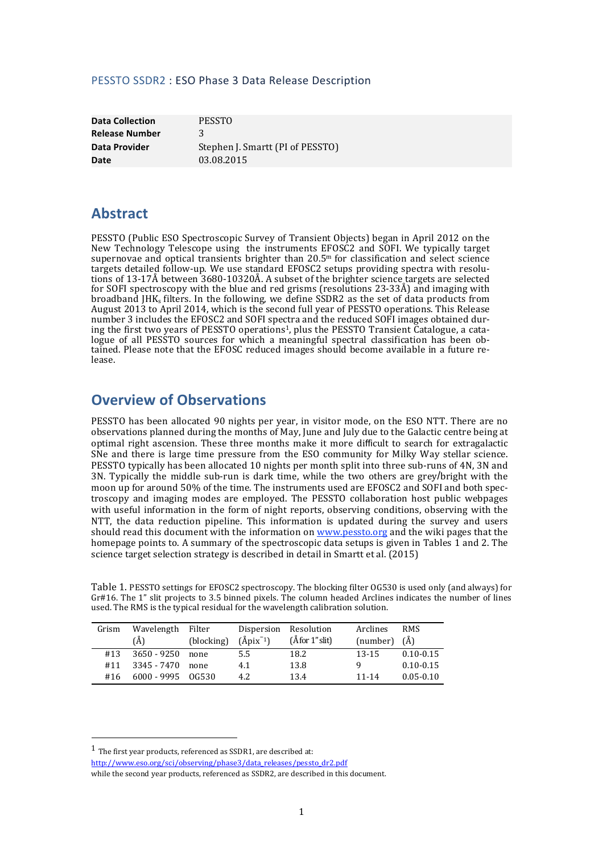### PESSTO SSDR2 : ESO Phase 3 Data Release Description

**Data Collection PESSTO Release Number** 3 **Date** 03.08.2015

**Data Provider** Stephen J. Smartt (PI of PESSTO)

## **Abstract**

PESSTO (Public ESO Spectroscopic Survey of Transient Objects) began in April 2012 on the New Technology Telescope using the instruments EFOSC2 and SOFI. We typically target supernovae and optical transients brighter than  $20.5<sup>m</sup>$  for classification and select science targets detailed follow-up. We use standard EFOSC2 setups providing spectra with resolutions of  $13-17\AA$  between  $3680-10320\AA$ . A subset of the brighter science targets are selected for SOFI spectroscopy with the blue and red grisms (resolutions  $23-33\AA$ ) and imaging with broadband JHK<sub>s</sub> filters. In the following, we define SSDR2 as the set of data products from August 2013 to April 2014, which is the second full year of PESSTO operations. This Release number 3 includes the EFOSC2 and SOFI spectra and the reduced SOFI images obtained during the first two years of PESSTO operations<sup>1</sup>, plus the PESSTO Transient Catalogue, a catalogue of all PESSTO sources for which a meaningful spectral classification has been obtained. Please note that the EFOSC reduced images should become available in a future release.

## **Overview of Observations**

PESSTO has been allocated 90 nights per year, in visitor mode, on the ESO NTT. There are no observations planned during the months of May, June and July due to the Galactic centre being at optimal right ascension. These three months make it more difficult to search for extragalactic SNe and there is large time pressure from the ESO community for Milky Way stellar science. PESSTO typically has been allocated 10 nights per month split into three sub-runs of 4N, 3N and 3N. Typically the middle sub-run is dark time, while the two others are grey/bright with the moon up for around 50% of the time. The instruments used are EFOSC2 and SOFI and both spectroscopy and imaging modes are employed. The PESSTO collaboration host public webpages with useful information in the form of night reports, observing conditions, observing with the NTT, the data reduction pipeline. This information is updated during the survey and users should read this document with the information on www.pessto.org and the wiki pages that the homepage points to. A summary of the spectroscopic data setups is given in Tables 1 and 2. The science target selection strategy is described in detail in Smartt et al. (2015)

Table 1. PESSTO settings for EFOSC2 spectroscopy. The blocking filter OG530 is used only (and always) for Gr#16. The 1" slit projects to 3.5 binned pixels. The column headed Arclines indicates the number of lines used. The RMS is the typical residual for the wavelength calibration solution.

| Grism | Wavelength<br>(Å)   | Filter<br>(blocking) | Dispersion Resolution<br>$(\text{Åpix}^{-1})$ | $(\AA$ for 1" slit) | Arclines<br>(number) | <b>RMS</b><br>(A) |
|-------|---------------------|----------------------|-----------------------------------------------|---------------------|----------------------|-------------------|
| #13   | 3650 - 9250         | none                 | 5.5                                           | 18.2                | $13 - 15$            | $0.10 - 0.15$     |
| #11   | 3345 - 7470         | none                 | 4.1                                           | 13.8                |                      | $0.10 - 0.15$     |
| #16   | $6000 - 9995$ 06530 |                      | 4.2                                           | 13.4                | 11-14                | $0.05 - 0.10$     |

<u> 1989 - Johann Stein, marwolaethau a bh</u>

http://www.eso.org/sci/observing/phase3/data\_releases/pessto\_dr2.pdf

 $1$  The first year products, referenced as SSDR1, are described at:

while the second year products, referenced as SSDR2, are described in this document.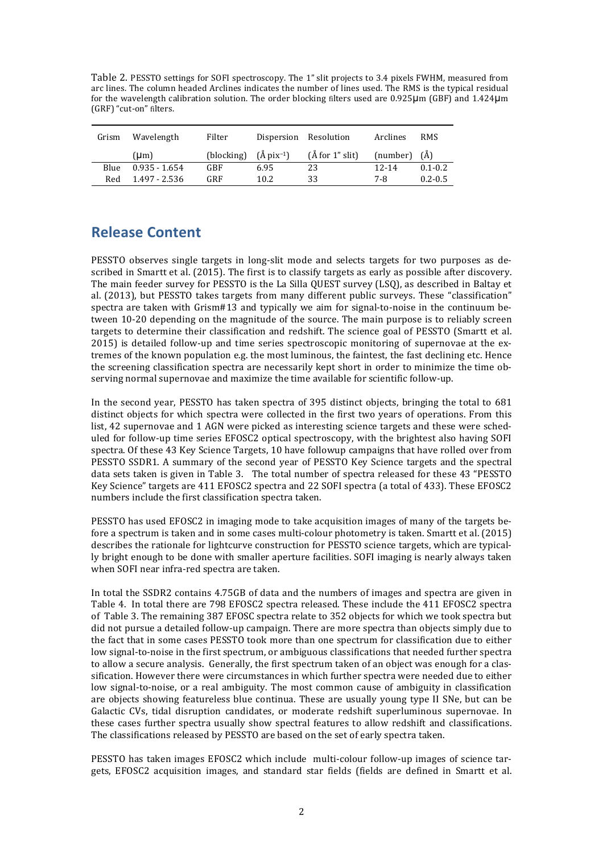Table 2. PESSTO settings for SOFI spectroscopy. The 1" slit projects to 3.4 pixels FWHM, measured from arc lines. The column headed Arclines indicates the number of lines used. The RMS is the typical residual for the wavelength calibration solution. The order blocking filters used are 0.925 $\mu$ m (GBF) and 1.424 $\mu$ m (GRF) "cut-on" filters.

| Grism | Wavelength      | Filter                           |      | Dispersion Resolution | Arclines           | <b>RMS</b>  |
|-------|-----------------|----------------------------------|------|-----------------------|--------------------|-------------|
|       | (Lm)            | (blocking) $(A \text{pix}^{-1})$ |      | $(\AA$ for 1" slit)   | $(number)$ $(\AA)$ |             |
| Blue  | $0.935 - 1.654$ | GBF                              | 6.95 | 23                    | $12 - 14$          | $0.1 - 0.2$ |
| Red   | 1.497 - 2.536   | GRF                              | 10.2 | 33                    | 7-8                | $0.2 - 0.5$ |

# **Release Content**

PESSTO observes single targets in long-slit mode and selects targets for two purposes as described in Smartt et al. (2015). The first is to classify targets as early as possible after discovery. The main feeder survey for PESSTO is the La Silla OUEST survey (LSO), as described in Baltay et al. (2013), but PESSTO takes targets from many different public surveys. These "classification" spectra are taken with Grism#13 and typically we aim for signal-to-noise in the continuum between 10-20 depending on the magnitude of the source. The main purpose is to reliably screen targets to determine their classification and redshift. The science goal of PESSTO (Smartt et al.  $2015$ ) is detailed follow-up and time series spectroscopic monitoring of supernovae at the extremes of the known population e.g. the most luminous, the faintest, the fast declining etc. Hence the screening classification spectra are necessarily kept short in order to minimize the time observing normal supernovae and maximize the time available for scientific follow-up.

In the second year, PESSTO has taken spectra of 395 distinct objects, bringing the total to 681 distinct objects for which spectra were collected in the first two years of operations. From this list, 42 supernovae and 1 AGN were picked as interesting science targets and these were scheduled for follow-up time series EFOSC2 optical spectroscopy, with the brightest also having SOFI spectra. Of these 43 Key Science Targets, 10 have followup campaigns that have rolled over from PESSTO SSDR1. A summary of the second year of PESSTO Key Science targets and the spectral data sets taken is given in Table 3. The total number of spectra released for these 43 "PESSTO Key Science" targets are 411 EFOSC2 spectra and 22 SOFI spectra (a total of 433). These EFOSC2 numbers include the first classification spectra taken.

PESSTO has used EFOSC2 in imaging mode to take acquisition images of many of the targets before a spectrum is taken and in some cases multi-colour photometry is taken. Smartt et al. (2015) describes the rationale for lightcurve construction for PESSTO science targets, which are typically bright enough to be done with smaller aperture facilities. SOFI imaging is nearly always taken when SOFI near infra-red spectra are taken.

In total the SSDR2 contains 4.75GB of data and the numbers of images and spectra are given in Table 4. In total there are 798 EFOSC2 spectra released. These include the 411 EFOSC2 spectra of Table 3. The remaining 387 EFOSC spectra relate to 352 objects for which we took spectra but did not pursue a detailed follow-up campaign. There are more spectra than objects simply due to the fact that in some cases PESSTO took more than one spectrum for classification due to either low signal-to-noise in the first spectrum, or ambiguous classifications that needed further spectra to allow a secure analysis. Generally, the first spectrum taken of an object was enough for a classification. However there were circumstances in which further spectra were needed due to either low signal-to-noise, or a real ambiguity. The most common cause of ambiguity in classification are objects showing featureless blue continua. These are usually young type II SNe, but can be Galactic CVs, tidal disruption candidates, or moderate redshift superluminous supernovae. In these cases further spectra usually show spectral features to allow redshift and classifications. The classifications released by PESSTO are based on the set of early spectra taken.

PESSTO has taken images EFOSC2 which include multi-colour follow-up images of science targets, EFOSC2 acquisition images, and standard star fields (fields are defined in Smartt et al.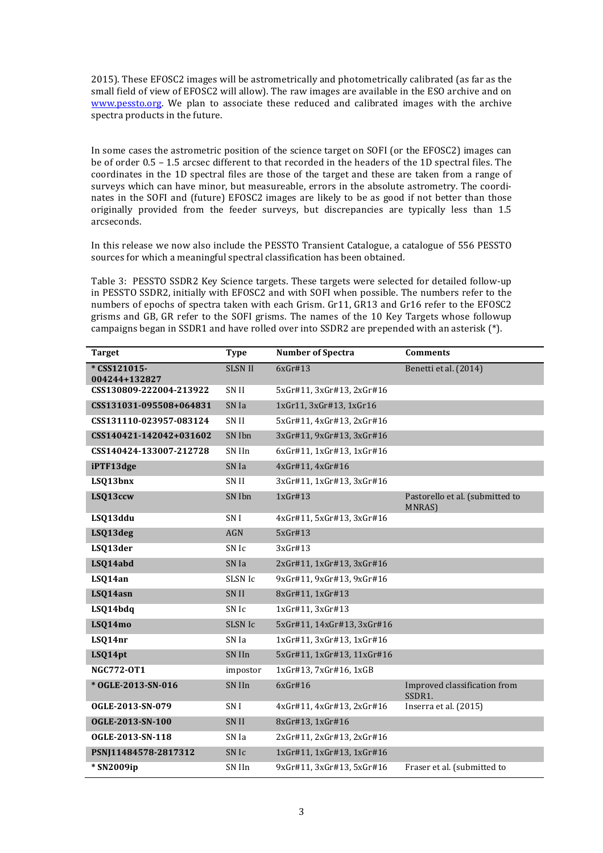2015). These EFOSC2 images will be astrometrically and photometrically calibrated (as far as the small field of view of EFOSC2 will allow). The raw images are available in the ESO archive and on www.pessto.org. We plan to associate these reduced and calibrated images with the archive spectra products in the future.

In some cases the astrometric position of the science target on SOFI (or the EFOSC2) images can be of order  $0.5 - 1.5$  arcsec different to that recorded in the headers of the 1D spectral files. The coordinates in the 1D spectral files are those of the target and these are taken from a range of surveys which can have minor, but measureable, errors in the absolute astrometry. The coordinates in the SOFI and (future) EFOSC2 images are likely to be as good if not better than those originally provided from the feeder surveys, but discrepancies are typically less than 1.5 arcseconds. 

In this release we now also include the PESSTO Transient Catalogue, a catalogue of 556 PESSTO sources for which a meaningful spectral classification has been obtained.

Table 3: PESSTO SSDR2 Key Science targets. These targets were selected for detailed follow-up in PESSTO SSDR2, initially with EFOSC2 and with SOFI when possible. The numbers refer to the numbers of epochs of spectra taken with each Grism. Gr11, GR13 and Gr16 refer to the EFOSC2 grisms and GB, GR refer to the SOFI grisms. The names of the 10 Key Targets whose followup campaigns began in SSDR1 and have rolled over into SSDR2 are prepended with an asterisk  $(*)$ .

| <b>Target</b>                | <b>Type</b>      | <b>Number of Spectra</b>   | <b>Comments</b>                                 |
|------------------------------|------------------|----------------------------|-------------------------------------------------|
| *CSS121015-<br>004244+132827 | <b>SLSN II</b>   | 6xGr#13                    | Benetti et al. (2014)                           |
| CSS130809-222004-213922      | SN II            | 5xGr#11, 3xGr#13, 2xGr#16  |                                                 |
| CSS131031-095508+064831      | SN Ia            | 1xGr11, 3xGr#13, 1xGr16    |                                                 |
| CSS131110-023957-083124      | SN <sub>II</sub> | 5xGr#11, 4xGr#13, 2xGr#16  |                                                 |
| CSS140421-142042+031602      | SN Ibn           | 3xGr#11, 9xGr#13, 3xGr#16  |                                                 |
| CSS140424-133007-212728      | SN IIn           | 6xGr#11, 1xGr#13, 1xGr#16  |                                                 |
| iPTF13dge                    | SN Ia            | 4xGr#11, 4xGr#16           |                                                 |
| LSQ13bnx                     | SN II            | 3xGr#11, 1xGr#13, 3xGr#16  |                                                 |
| LSQ13ccw                     | SN Ibn           | 1xGr#13                    | Pastorello et al. (submitted to<br><b>MNRAS</b> |
| LSQ13ddu                     | SN I             | 4xGr#11, 5xGr#13, 3xGr#16  |                                                 |
| LSQ13deg                     | <b>AGN</b>       | 5xGr#13                    |                                                 |
| LSQ13der                     | SN Ic            | 3xGr#13                    |                                                 |
| LSQ14abd                     | SN Ia            | 2xGr#11, 1xGr#13, 3xGr#16  |                                                 |
| LSQ14an                      | SLSN Ic          | 9xGr#11, 9xGr#13, 9xGr#16  |                                                 |
| LSQ14asn                     | <b>SNII</b>      | 8xGr#11, 1xGr#13           |                                                 |
| LSQ14bdq                     | SN Ic            | 1xGr#11, 3xGr#13           |                                                 |
| LSQ14mo                      | <b>SLSN Ic</b>   | 5xGr#11, 14xGr#13, 3xGr#16 |                                                 |
| LSQ14nr                      | SN Ia            | 1xGr#11, 3xGr#13, 1xGr#16  |                                                 |
| LSQ14pt                      | SN IIn           | 5xGr#11, 1xGr#13, 11xGr#16 |                                                 |
| <b>NGC772-0T1</b>            | impostor         | 1xGr#13, 7xGr#16, 1xGB     |                                                 |
| * OGLE-2013-SN-016           | SN IIn           | 6xGr#16                    | Improved classification from<br>SSDR1.          |
| OGLE-2013-SN-079             | SN I             | 4xGr#11, 4xGr#13, 2xGr#16  | Inserra et al. (2015)                           |
| OGLE-2013-SN-100             | SN II            | 8xGr#13, 1xGr#16           |                                                 |
| OGLE-2013-SN-118             | SN Ia            | 2xGr#11, 2xGr#13, 2xGr#16  |                                                 |
| PSNJ11484578-2817312         | SN Ic            | 1xGr#11, 1xGr#13, 1xGr#16  |                                                 |
| * SN2009ip                   | SN IIn           | 9xGr#11, 3xGr#13, 5xGr#16  | Fraser et al. (submitted to                     |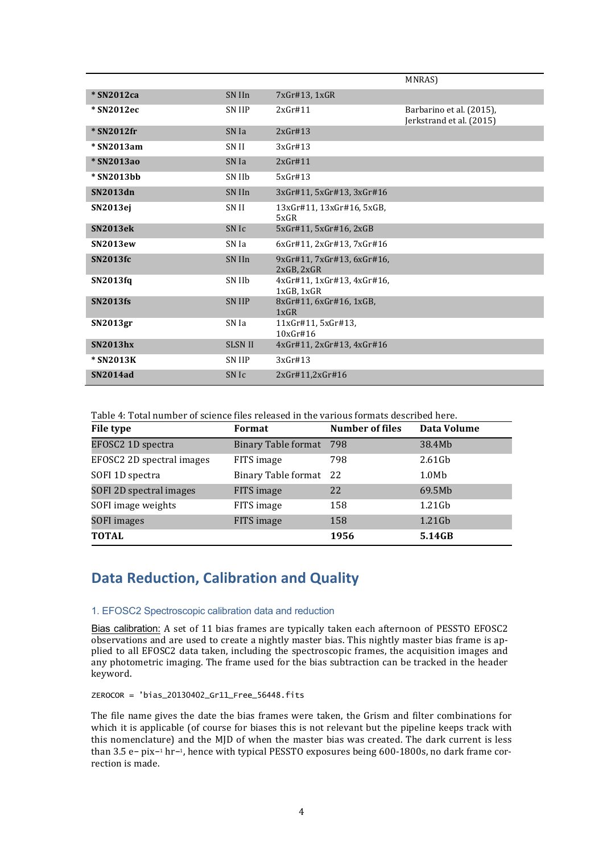|                 |                |                                          | MNRAS)                                               |
|-----------------|----------------|------------------------------------------|------------------------------------------------------|
| * SN2012ca      | SN IIn         | 7xGr#13, 1xGR                            |                                                      |
| * SN2012ec      | SN IIP         | 2xGr#11                                  | Barbarino et al. (2015),<br>Jerkstrand et al. (2015) |
| * SN2012fr      | SN Ia          | 2xGr#13                                  |                                                      |
| * SN2013am      | SN II          | 3xGr#13                                  |                                                      |
| * SN2013ao      | SN Ia          | 2xGr#11                                  |                                                      |
| * SN2013bb      | SN IIb         | 5xGr#13                                  |                                                      |
| SN2013dn        | SN IIn         | 3xGr#11, 5xGr#13, 3xGr#16                |                                                      |
| <b>SN2013ej</b> | SN II          | 13xGr#11, 13xGr#16, 5xGB,<br>5xGR        |                                                      |
| <b>SN2013ek</b> | SN Ic          | 5xGr#11, 5xGr#16, 2xGB                   |                                                      |
| <b>SN2013ew</b> | SN Ia          | 6xGr#11.2xGr#13.7xGr#16                  |                                                      |
| <b>SN2013fc</b> | SN IIn         | 9xGr#11, 7xGr#13, 6xGr#16,<br>2xGB, 2xGR |                                                      |
| SN2013fq        | SN IIb         | 4xGr#11, 1xGr#13, 4xGr#16,<br>1xGB.1xGR  |                                                      |
| <b>SN2013fs</b> | <b>SN IIP</b>  | 8xGr#11, 6xGr#16, 1xGB,<br>1xGR          |                                                      |
| SN2013gr        | SN Ia          | 11xGr#11, 5xGr#13.<br>10xGr#16           |                                                      |
| <b>SN2013hx</b> | <b>SLSN II</b> | 4xGr#11, 2xGr#13, 4xGr#16                |                                                      |
| * SN2013K       | <b>SN IIP</b>  | 3xGr#13                                  |                                                      |
| <b>SN2014ad</b> | SN Ic          | 2xGr#11,2xGr#16                          |                                                      |

Table 4: Total number of science files released in the various formats described here.

| File type                 | Format                  | <b>Number of files</b> | Data Volume       |
|---------------------------|-------------------------|------------------------|-------------------|
| EFOSC2 1D spectra         | Binary Table format 798 |                        | 38.4Mb            |
| EFOSC2 2D spectral images | FITS image              | 798                    | $2.61$ Gb         |
| SOFI 1D spectra           | Binary Table format 22  |                        | 1.0M <sub>b</sub> |
| SOFI 2D spectral images   | FITS image              | 22                     | 69.5Mb            |
| SOFI image weights        | FITS image              | 158                    | $1.21$ Gb         |
| SOFI images               | FITS image              | 158                    | $1.21$ Gb         |
| <b>TOTAL</b>              |                         | 1956                   | 5.14GB            |

## **Data Reduction, Calibration and Quality**

#### 1. EFOSC2 Spectroscopic calibration data and reduction

Bias calibration: A set of 11 bias frames are typically taken each afternoon of PESSTO EFOSC2 observations and are used to create a nightly master bias. This nightly master bias frame is applied to all EFOSC2 data taken, including the spectroscopic frames, the acquisition images and any photometric imaging. The frame used for the bias subtraction can be tracked in the header keyword.

ZEROCOR = 'bias\_20130402\_Gr11\_Free\_56448.fits

The file name gives the date the bias frames were taken, the Grism and filter combinations for which it is applicable (of course for biases this is not relevant but the pipeline keeps track with this nomenclature) and the MJD of when the master bias was created. The dark current is less than 3.5 e− pix−1 hr−1, hence with typical PESSTO exposures being 600-1800s, no dark frame correction is made.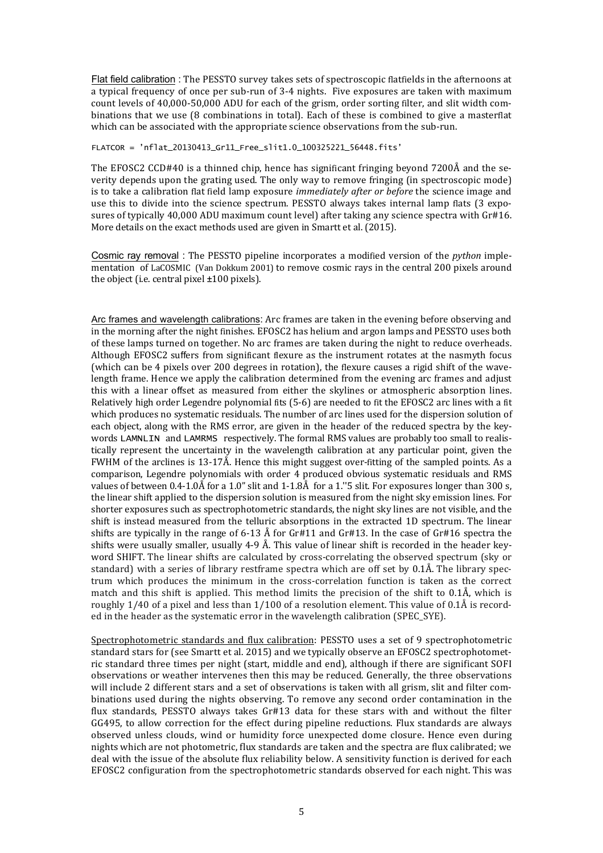Flat field calibration : The PESSTO survey takes sets of spectroscopic flatfields in the afternoons at a typical frequency of once per sub-run of 3-4 nights. Five exposures are taken with maximum count levels of 40,000-50,000 ADU for each of the grism, order sorting filter, and slit width combinations that we use (8 combinations in total). Each of these is combined to give a masterflat which can be associated with the appropriate science observations from the sub-run.

FLATCOR = 'nflat\_20130413\_Gr11\_Free\_slit1.0\_100325221\_56448.fits'

The EFOSC2 CCD#40 is a thinned chip, hence has significant fringing beyond  $7200\text{\AA}$  and the severity depends upon the grating used. The only way to remove fringing (in spectroscopic mode) is to take a calibration flat field lamp exposure *immediately after or before* the science image and use this to divide into the science spectrum. PESSTO always takes internal lamp flats (3 exposures of typically 40,000 ADU maximum count level) after taking any science spectra with Gr#16. More details on the exact methods used are given in Smartt et al. (2015).

Cosmic ray removal : The PESSTO pipeline incorporates a modified version of the *python* implementation of LaCOSMIC (Van Dokkum 2001) to remove cosmic rays in the central 200 pixels around the object (i.e. central pixel  $\pm 100$  pixels).

Arc frames and wavelength calibrations: Arc frames are taken in the evening before observing and in the morning after the night finishes. EFOSC2 has helium and argon lamps and PESSTO uses both of these lamps turned on together. No arc frames are taken during the night to reduce overheads. Although EFOSC2 suffers from significant flexure as the instrument rotates at the nasmyth focus (which can be 4 pixels over 200 degrees in rotation), the flexure causes a rigid shift of the wavelength frame. Hence we apply the calibration determined from the evening arc frames and adjust this with a linear offset as measured from either the skylines or atmospheric absorption lines. Relatively high order Legendre polynomial fits  $(5-6)$  are needed to fit the EFOSC2 arc lines with a fit which produces no systematic residuals. The number of arc lines used for the dispersion solution of each object, along with the RMS error, are given in the header of the reduced spectra by the keywords LAMNLIN and LAMRMS respectively. The formal RMS values are probably too small to realistically represent the uncertainty in the wavelength calibration at any particular point, given the FWHM of the arclines is  $13-17\text{\AA}$ . Hence this might suggest over-fitting of the sampled points. As a comparison, Legendre polynomials with order 4 produced obvious systematic residuals and RMS values of between  $0.4$ -1.0Å for a 1.0" slit and 1-1.8Å for a 1."5 slit. For exposures longer than 300 s, the linear shift applied to the dispersion solution is measured from the night sky emission lines. For shorter exposures such as spectrophotometric standards, the night sky lines are not visible, and the shift is instead measured from the telluric absorptions in the extracted 1D spectrum. The linear shifts are typically in the range of 6-13 Å for Gr#11 and Gr#13. In the case of Gr#16 spectra the shifts were usually smaller, usually 4-9 Å. This value of linear shift is recorded in the header keyword SHIFT. The linear shifts are calculated by cross-correlating the observed spectrum (sky or standard) with a series of library restframe spectra which are off set by  $0.1\text{\AA}$ . The library spectrum which produces the minimum in the cross-correlation function is taken as the correct match and this shift is applied. This method limits the precision of the shift to  $0.1\text{\AA}$ , which is roughly  $1/40$  of a pixel and less than  $1/100$  of a resolution element. This value of 0.1Å is recorded in the header as the systematic error in the wavelength calibration (SPEC\_SYE).

Spectrophotometric standards and flux calibration: PESSTO uses a set of 9 spectrophotometric standard stars for (see Smartt et al. 2015) and we typically observe an EFOSC2 spectrophotometric standard three times per night (start, middle and end), although if there are significant SOFI observations or weather intervenes then this may be reduced. Generally, the three observations will include 2 different stars and a set of observations is taken with all grism, slit and filter combinations used during the nights observing. To remove any second order contamination in the flux standards, PESSTO always takes Gr#13 data for these stars with and without the filter GG495, to allow correction for the effect during pipeline reductions. Flux standards are always observed unless clouds, wind or humidity force unexpected dome closure. Hence even during nights which are not photometric, flux standards are taken and the spectra are flux calibrated; we deal with the issue of the absolute flux reliability below. A sensitivity function is derived for each EFOSC2 configuration from the spectrophotometric standards observed for each night. This was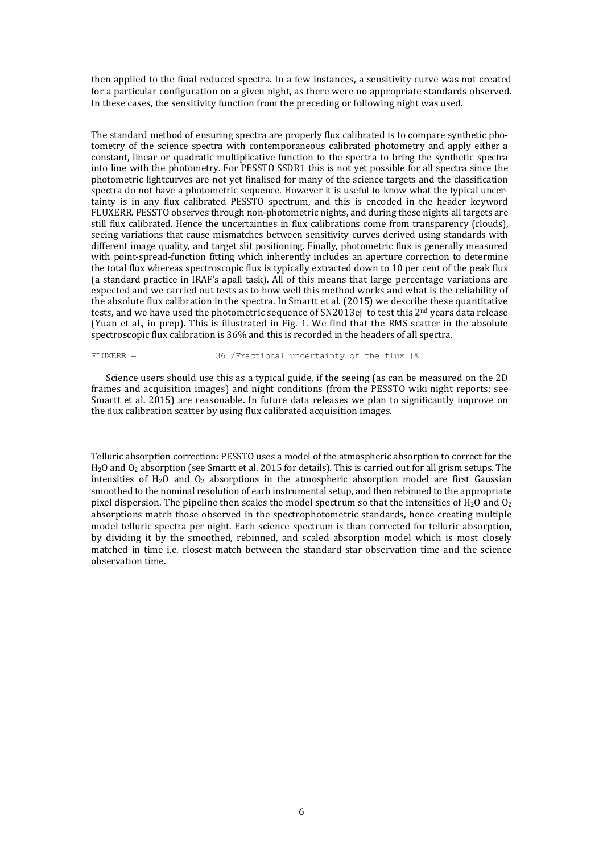then applied to the final reduced spectra. In a few instances, a sensitivity curve was not created for a particular configuration on a given night, as there were no appropriate standards observed. In these cases, the sensitivity function from the preceding or following night was used.

The standard method of ensuring spectra are properly flux calibrated is to compare synthetic photometry of the science spectra with contemporaneous calibrated photometry and apply either a constant, linear or quadratic multiplicative function to the spectra to bring the synthetic spectra into line with the photometry. For PESSTO SSDR1 this is not vet possible for all spectra since the photometric lightcurves are not yet finalised for many of the science targets and the classification spectra do not have a photometric sequence. However it is useful to know what the typical uncertainty is in any flux calibrated PESSTO spectrum, and this is encoded in the header keyword FLUXERR. PESSTO observes through non-photometric nights, and during these nights all targets are still flux calibrated. Hence the uncertainties in flux calibrations come from transparency (clouds), seeing variations that cause mismatches between sensitivity curves derived using standards with different image quality, and target slit positioning. Finally, photometric flux is generally measured with point-spread-function fitting which inherently includes an aperture correction to determine the total flux whereas spectroscopic flux is typically extracted down to 10 per cent of the peak flux (a standard practice in IRAF's apall task). All of this means that large percentage variations are expected and we carried out tests as to how well this method works and what is the reliability of the absolute flux calibration in the spectra. In Smartt et al. (2015) we describe these quantitative tests, and we have used the photometric sequence of  $SN2013ej$  to test this  $2nd$  years data release (Yuan et al., in prep). This is illustrated in Fig. 1. We find that the RMS scatter in the absolute spectroscopic flux calibration is 36% and this is recorded in the headers of all spectra.

FLUXERR = 36 /Fractional uncertainty of the flux [%]

Science users should use this as a typical guide, if the seeing (as can be measured on the 2D frames and acquisition images) and night conditions (from the PESSTO wiki night reports; see Smartt et al. 2015) are reasonable. In future data releases we plan to significantly improve on the flux calibration scatter by using flux calibrated acquisition images.

Telluric absorption correction: PESSTO uses a model of the atmospheric absorption to correct for the H<sub>2</sub>O and  $O_2$  absorption (see Smartt et al. 2015 for details). This is carried out for all grism setups. The intensities of  $H_2O$  and  $O_2$  absorptions in the atmospheric absorption model are first Gaussian smoothed to the nominal resolution of each instrumental setup, and then rebinned to the appropriate pixel dispersion. The pipeline then scales the model spectrum so that the intensities of  $H_2O$  and  $O_2$ absorptions match those observed in the spectrophotometric standards, hence creating multiple model telluric spectra per night. Each science spectrum is than corrected for telluric absorption, by dividing it by the smoothed, rebinned, and scaled absorption model which is most closely matched in time i.e. closest match between the standard star observation time and the science observation time.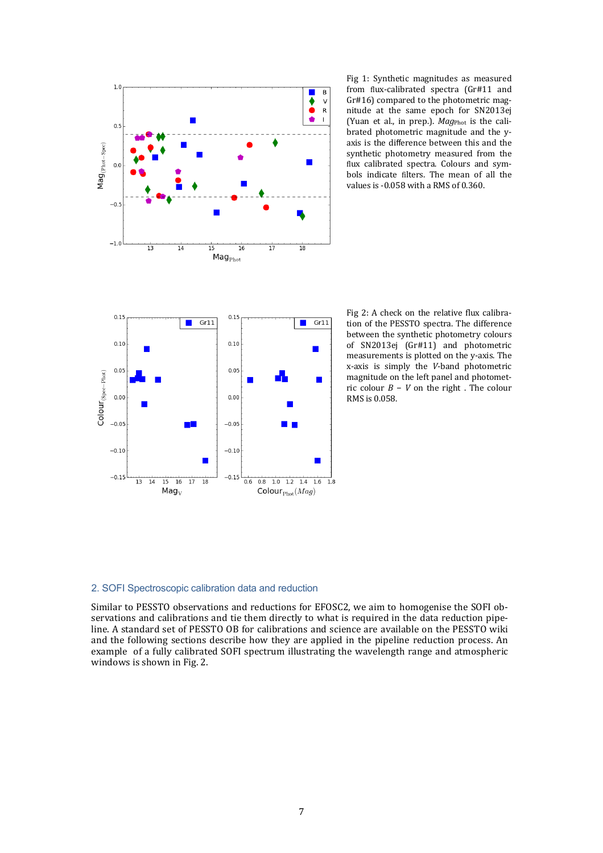

Fig 1: Synthetic magnitudes as measured from flux-calibrated spectra (Gr#11 and  $Gr#16$ ) compared to the photometric magnitude at the same epoch for SN2013ej (Yuan et al., in prep.). *Mag*<sub>Phot</sub> is the calibrated photometric magnitude and the yaxis is the difference between this and the synthetic photometry measured from the flux calibrated spectra. Colours and symbols indicate filters. The mean of all the values is  $-0.058$  with a RMS of  $0.360$ .



Fig 2: A check on the relative flux calibration of the PESSTO spectra. The difference between the synthetic photometry colours of SN2013ej (Gr#11) and photometric measurements is plotted on the y-axis. The x-axis is simply the *V*-band photometric magnitude on the left panel and photometric colour *B* − *V* on the right . The colour RMS is 0.058.

#### 2. SOFI Spectroscopic calibration data and reduction

Similar to PESSTO observations and reductions for EFOSC2, we aim to homogenise the SOFI observations and calibrations and tie them directly to what is required in the data reduction pipeline. A standard set of PESSTO OB for calibrations and science are available on the PESSTO wiki and the following sections describe how they are applied in the pipeline reduction process. An example of a fully calibrated SOFI spectrum illustrating the wavelength range and atmospheric windows is shown in Fig. 2.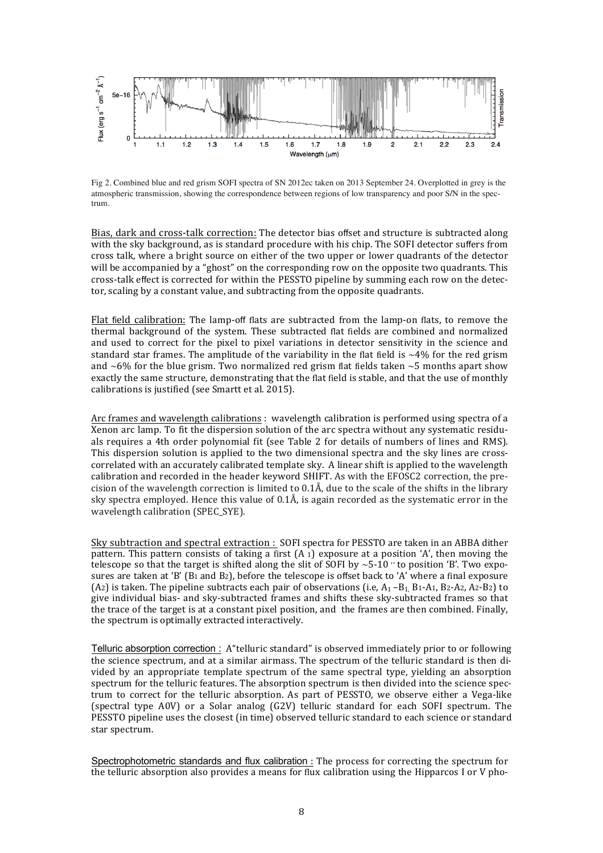

Fig 2. Combined blue and red grism SOFI spectra of SN 2012ec taken on 2013 September 24. Overplotted in grey is the atmospheric transmission, showing the correspondence between regions of low transparency and poor S/N in the spectrum.

Bias, dark and cross-talk correction: The detector bias offset and structure is subtracted along with the sky background, as is standard procedure with his chip. The SOFI detector suffers from cross talk, where a bright source on either of the two upper or lower quadrants of the detector will be accompanied by a "ghost" on the corresponding row on the opposite two quadrants. This cross-talk effect is corrected for within the PESSTO pipeline by summing each row on the detector, scaling by a constant value, and subtracting from the opposite quadrants.

Flat field calibration: The lamp-off flats are subtracted from the lamp-on flats, to remove the thermal background of the system. These subtracted flat fields are combined and normalized and used to correct for the pixel to pixel variations in detector sensitivity in the science and standard star frames. The amplitude of the variability in the flat field is  $~4\%$  for the red grism and  $~6\%$  for the blue grism. Two normalized red grism flat fields taken  $~5$  months apart show exactly the same structure, demonstrating that the flat field is stable, and that the use of monthly calibrations is justified (see Smartt et al. 2015).

Arc frames and wavelength calibrations : wavelength calibration is performed using spectra of a Xenon arc lamp. To fit the dispersion solution of the arc spectra without any systematic residuals requires a 4th order polynomial fit (see Table 2 for details of numbers of lines and RMS). This dispersion solution is applied to the two dimensional spectra and the sky lines are crosscorrelated with an accurately calibrated template sky. A linear shift is applied to the wavelength calibration and recorded in the header keyword SHIFT. As with the EFOSC2 correction, the precision of the wavelength correction is limited to  $0.1\text{\AA}$ , due to the scale of the shifts in the library sky spectra employed. Hence this value of  $0.1\text{\AA}$ , is again recorded as the systematic error in the wavelength calibration (SPEC SYE).

Sky subtraction and spectral extraction : SOFI spectra for PESSTO are taken in an ABBA dither pattern. This pattern consists of taking a first  $(A_1)$  exposure at a position 'A', then moving the telescope so that the target is shifted along the slit of SOFI by  $\sim$  5-10  $\degree$  to position 'B'. Two exposures are taken at 'B' (B1 and B2), before the telescope is offset back to 'A' where a final exposure (A2) is taken. The pipeline subtracts each pair of observations (i.e,  $A_1 - B_1$ , B1-A1, B2-A2, A2-B2) to give individual bias- and sky-subtracted frames and shifts these sky-subtracted frames so that the trace of the target is at a constant pixel position, and the frames are then combined. Finally, the spectrum is optimally extracted interactively.

Telluric absorption correction : A "telluric standard" is observed immediately prior to or following the science spectrum, and at a similar airmass. The spectrum of the telluric standard is then divided by an appropriate template spectrum of the same spectral type, vielding an absorption spectrum for the telluric features. The absorption spectrum is then divided into the science spectrum to correct for the telluric absorption. As part of PESSTO, we observe either a Vega-like (spectral type  $A0V$ ) or a Solar analog  $(G2V)$  telluric standard for each SOFI spectrum. The PESSTO pipeline uses the closest (in time) observed telluric standard to each science or standard star spectrum.

Spectrophotometric standards and flux calibration : The process for correcting the spectrum for the telluric absorption also provides a means for flux calibration using the Hipparcos I or V pho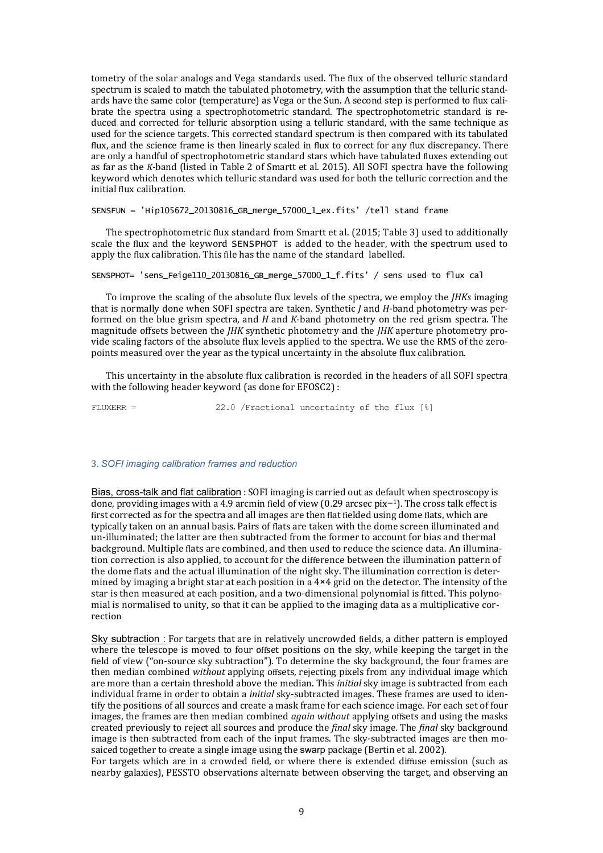tometry of the solar analogs and Vega standards used. The flux of the observed telluric standard spectrum is scaled to match the tabulated photometry, with the assumption that the telluric standards have the same color (temperature) as Vega or the Sun. A second step is performed to flux calibrate the spectra using a spectrophotometric standard. The spectrophotometric standard is reduced and corrected for telluric absorption using a telluric standard, with the same technique as used for the science targets. This corrected standard spectrum is then compared with its tabulated flux, and the science frame is then linearly scaled in flux to correct for any flux discrepancy. There are only a handful of spectrophotometric standard stars which have tabulated fluxes extending out as far as the *K*-band (listed in Table 2 of Smartt et al. 2015). All SOFI spectra have the following keyword which denotes which telluric standard was used for both the telluric correction and the initial flux calibration.

SENSFUN = 'Hip105672\_20130816\_GB\_merge\_57000\_1\_ex.fits' /tell stand frame

The spectrophotometric flux standard from Smartt et al. (2015; Table 3) used to additionally scale the flux and the keyword SENSPHOT is added to the header, with the spectrum used to apply the flux calibration. This file has the name of the standard labelled.

#### SENSPHOT= 'sens\_Feige110\_20130816\_GB\_merge\_57000\_1\_f.fits' / sens used to flux cal

To improve the scaling of the absolute flux levels of the spectra, we employ the *JHKs* imaging that is normally done when SOFI spectra are taken. Synthetic *I* and *H*-band photometry was performed on the blue grism spectra, and *H* and *K*-band photometry on the red grism spectra. The magnitude offsets between the *JHK* synthetic photometry and the *JHK* aperture photometry provide scaling factors of the absolute flux levels applied to the spectra. We use the RMS of the zeropoints measured over the year as the typical uncertainty in the absolute flux calibration.

This uncertainty in the absolute flux calibration is recorded in the headers of all SOFI spectra with the following header keyword (as done for EFOSC2) :

FLUXERR = 22.0 /Fractional uncertainty of the flux [%]

#### 3. *SOFI imaging calibration frames and reduction*

Bias, cross-talk and flat calibration : SOFI imaging is carried out as default when spectroscopy is done, providing images with a 4.9 arcmin field of view (0.29 arcsec pix-1). The cross talk effect is first corrected as for the spectra and all images are then flat fielded using dome flats, which are typically taken on an annual basis. Pairs of flats are taken with the dome screen illuminated and un-illuminated; the latter are then subtracted from the former to account for bias and thermal background. Multiple flats are combined, and then used to reduce the science data. An illumination correction is also applied, to account for the difference between the illumination pattern of the dome flats and the actual illumination of the night sky. The illumination correction is determined by imaging a bright star at each position in a  $4\times4$  grid on the detector. The intensity of the star is then measured at each position, and a two-dimensional polynomial is fitted. This polynomial is normalised to unity, so that it can be applied to the imaging data as a multiplicative correction

Sky subtraction : For targets that are in relatively uncrowded fields, a dither pattern is employed where the telescope is moved to four offset positions on the sky, while keeping the target in the field of view ("on-source sky subtraction"). To determine the sky background, the four frames are then median combined *without* applying offsets, rejecting pixels from any individual image which are more than a certain threshold above the median. This *initial* sky image is subtracted from each individual frame in order to obtain a *initial* sky-subtracted images. These frames are used to identify the positions of all sources and create a mask frame for each science image. For each set of four images, the frames are then median combined *goain without* applying offsets and using the masks created previously to reject all sources and produce the *final* sky image. The *final* sky background image is then subtracted from each of the input frames. The sky-subtracted images are then mosaiced together to create a single image using the swarp package (Bertin et al. 2002).

For targets which are in a crowded field, or where there is extended diffuse emission (such as nearby galaxies), PESSTO observations alternate between observing the target, and observing an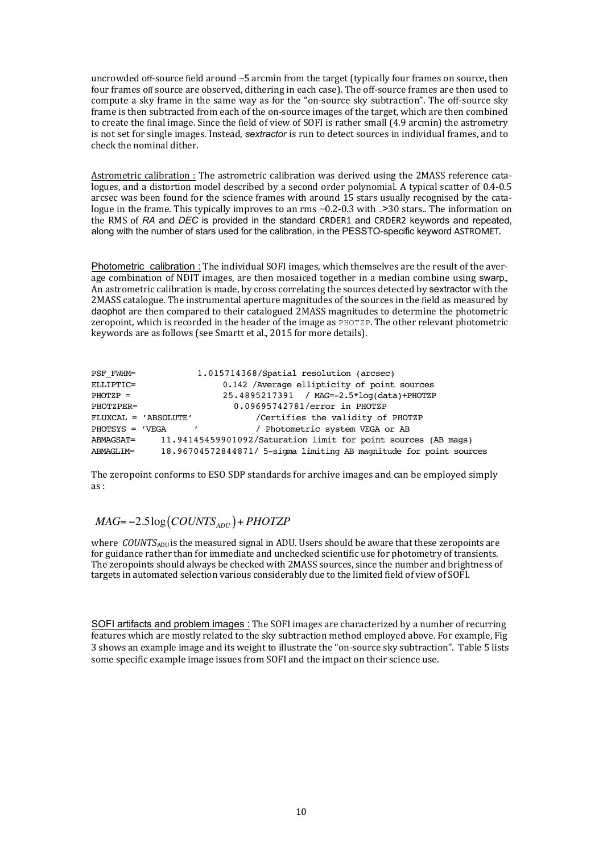uncrowded off-source field around ~5 arcmin from the target (typically four frames on source, then four frames off source are observed, dithering in each case). The off-source frames are then used to compute a sky frame in the same way as for the "on-source sky subtraction". The off-source sky frame is then subtracted from each of the on-source images of the target, which are then combined to create the final image. Since the field of view of SOFI is rather small (4.9 arcmin) the astrometry is not set for single images. Instead, *sextractor* is run to detect sources in individual frames, and to check the nominal dither.

Astrometric calibration : The astrometric calibration was derived using the 2MASS reference catalogues, and a distortion model described by a second order polynomial. A typical scatter of 0.4-0.5 arcsec was been found for the science frames with around 15 stars usually recognised by the catalogue in the frame. This typically improves to an rms ~0.2-0.3 with <sub>∼</sub>>30 stars.. The information on the RMS of RA and *DEC* is provided in the standard CRDER1 and CRDER2 keywords and repeated, along with the number of stars used for the calibration, in the PESSTO-specific keyword ASTROMET. 

Photometric calibration : The individual SOFI images, which themselves are the result of the average combination of NDIT images, are then mosaiced together in a median combine using swarp., An astrometric calibration is made, by cross correlating the sources detected by sextractor with the 2MASS catalogue. The instrumental aperture magnitudes of the sources in the field as measured by daophot are then compared to their catalogued 2MASS magnitudes to determine the photometric zeropoint, which is recorded in the header of the image as PHOTZP. The other relevant photometric keywords are as follows (see Smartt et al., 2015 for more details).

| PSF FWHM=         |                      | 1.015714368/Spatial resolution (arcsec)                            |
|-------------------|----------------------|--------------------------------------------------------------------|
| ELLIPTIC=         |                      | 0.142 / Average ellipticity of point sources                       |
| $PHOTZP =$        |                      | 25.4895217391 / MAG=-2.5*log(data)+PHOTZP                          |
| PHOTZPER=         |                      | 0.09695742781/error in PHOTZP                                      |
|                   | FLUXCAL = 'ABSOLUTE' | /Certifies the validity of PHOTZP                                  |
| $PHOTSYS = 'VEGA$ |                      | / Photometric system VEGA or AB                                    |
| ABMAGSAT=         |                      | 11.94145459901092/Saturation limit for point sources (AB mags)     |
| ABMAGLIM=         |                      | 18.96704572844871/ 5-sigma limiting AB magnitude for point sources |

The zeropoint conforms to ESO SDP standards for archive images and can be employed simply as :

### $MAG = -2.5 \log (COUNTS<sub>ADU</sub>) + PHOTZP$

where *COUNTS*<sub>ADU</sub> is the measured signal in ADU. Users should be aware that these zeropoints are for guidance rather than for immediate and unchecked scientific use for photometry of transients. The zeropoints should always be checked with 2MASS sources, since the number and brightness of targets in automated selection various considerably due to the limited field of view of SOFI.

SOFI artifacts and problem images : The SOFI images are characterized by a number of recurring features which are mostly related to the sky subtraction method employed above. For example, Fig 3 shows an example image and its weight to illustrate the "on-source sky subtraction". Table 5 lists some specific example image issues from SOFI and the impact on their science use.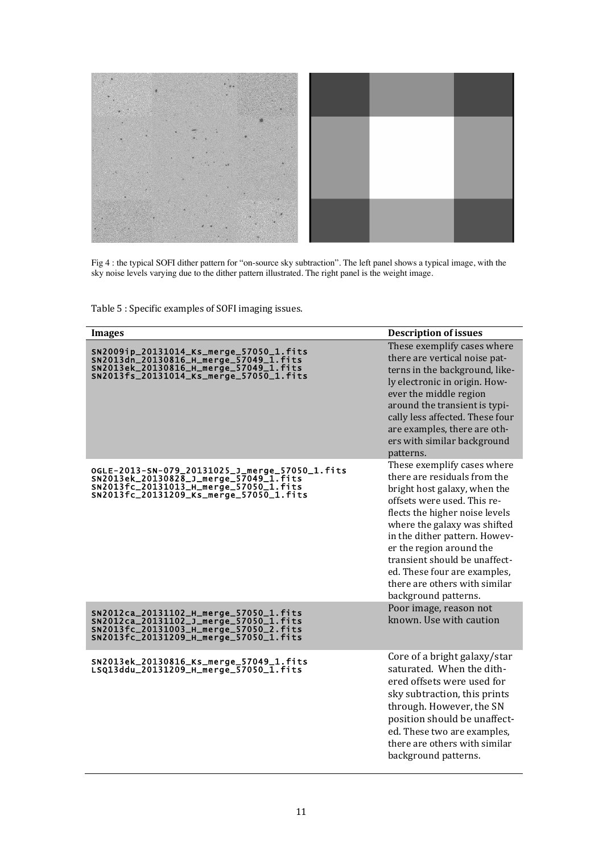

Fig 4 : the typical SOFI dither pattern for "on-source sky subtraction". The left panel shows a typical image, with the sky noise levels varying due to the dither pattern illustrated. The right panel is the weight image.

Table 5 : Specific examples of SOFI imaging issues.

| <b>Images</b>                                                                                                                                                                 | <b>Description of issues</b>                                                                                                                                                                                                                                                                                                                                                        |
|-------------------------------------------------------------------------------------------------------------------------------------------------------------------------------|-------------------------------------------------------------------------------------------------------------------------------------------------------------------------------------------------------------------------------------------------------------------------------------------------------------------------------------------------------------------------------------|
| sn2009ip_20131014_Ks_merge_57050_1.fits<br>Sn2013dn_20130816_H_merge_57049_1.fits<br>SN2013ek_20130816_H_merge_57049_1.fits<br>SN2013fs_20131014_Ks_merge_57050_1.fits        | These exemplify cases where<br>there are vertical noise pat-<br>terns in the background, like-<br>ly electronic in origin. How-<br>ever the middle region<br>around the transient is typi-<br>cally less affected. These four<br>are examples, there are oth-<br>ers with similar background<br>patterns.                                                                           |
| OGLE-2013-SN-079_20131025_J_merge_57050_1.fits<br>SN2013ek_20130828_J_merge_57049_1.fits<br>SN2013fc_20131013_H_merge_57050_1.fits<br>SN2013fc_20131209_Ks_merge_57050_1.fits | These exemplify cases where<br>there are residuals from the<br>bright host galaxy, when the<br>offsets were used. This re-<br>flects the higher noise levels<br>where the galaxy was shifted<br>in the dither pattern. Howev-<br>er the region around the<br>transient should be unaffect-<br>ed. These four are examples,<br>there are others with similar<br>background patterns. |
| SN2012ca_20131102_H_merge_57050_1.fits<br>SN2012ca_20131102_J_merge_57050_1.fits<br>SN2013fc_20131003_H_merge_57050_2.fits<br>SN2013fc_20131209_H_merge_57050_1.fits          | Poor image, reason not<br>known. Use with caution                                                                                                                                                                                                                                                                                                                                   |
| SN2013ek_20130816_Ks_merge_57049_1.fits<br>LSQ13ddu_20131209_H_merge_57050_1.fits                                                                                             | Core of a bright galaxy/star<br>saturated. When the dith-<br>ered offsets were used for<br>sky subtraction, this prints<br>through. However, the SN<br>position should be unaffect-<br>ed. These two are examples,<br>there are others with similar<br>background patterns.                                                                                                         |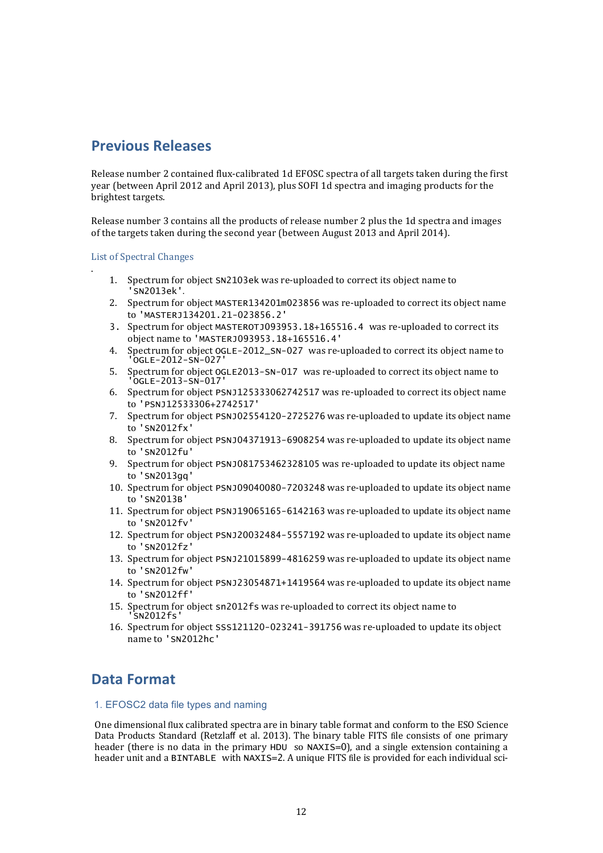# **Previous Releases**

Release number 2 contained flux-calibrated 1d EFOSC spectra of all targets taken during the first year (between April 2012 and April 2013), plus SOFI 1d spectra and imaging products for the brightest targets.

Release number 3 contains all the products of release number 2 plus the 1d spectra and images of the targets taken during the second year (between August 2013 and April 2014).

List of Spectral Changes

.

- 1. Spectrum for object SN2103ek was re-uploaded to correct its object name to 'SN2013ek'.
- 2. Spectrum for object MASTER134201m023856 was re-uploaded to correct its object name to 'MASTERJ134201.21-023856.2'
- 3. Spectrum for object MASTEROTJ093953.18+165516.4 was re-uploaded to correct its object name to 'MASTERJ093953.18+165516.4'
- 4. Spectrum for object OGLE-2012\_SN-027 was re-uploaded to correct its obiect name to 'OGLE-2012-SN-027'
- 5. Spectrum for object OGLE2013-SN-017 was re-uploaded to correct its object name to 'OGLE-2013-SN-017'
- 6. Spectrum for object PSNJ125333062742517 was re-uploaded to correct its object name to 'PSNJ12533306+2742517'
- 7. Spectrum for object PSNJ02554120-2725276 was re-uploaded to update its object name to 'SN2012fx'
- 8. Spectrum for object PSNJ04371913-6908254 was re-uploaded to update its object name to 'SN2012fu'
- 9. Spectrum for object PSNJ081753462328105 was re-uploaded to update its object name to 'SN2013gq'
- 10. Spectrum for object PSNJ09040080-7203248 was re-uploaded to update its object name to 'SN2013B'
- 11. Spectrum for object PSNJ19065165-6142163 was re-uploaded to update its object name to 'SN2012fv'
- 12. Spectrum for object PSNJ20032484-5557192 was re-uploaded to update its object name to 'SN2012fz'
- 13. Spectrum for object PSNJ21015899-4816259 was re-uploaded to update its object name to 'SN2012fw'
- 14. Spectrum for object PSNJ23054871+1419564 was re-uploaded to update its object name to 'SN2012ff'
- 15. Spectrum for object sn2012fs was re-uploaded to correct its object name to 'SN2012fs'
- 16. Spectrum for object SSS121120-023241-391756 was re-uploaded to update its object name to 'SN2012hc'

# **Data Format**

### 1. EFOSC2 data file types and naming

One dimensional flux calibrated spectra are in binary table format and conform to the ESO Science Data Products Standard (Retzlaff et al. 2013). The binary table FITS file consists of one primary header (there is no data in the primary HDU so NAXIS=0), and a single extension containing a header unit and a BINTABLE with NAXIS=2. A unique FITS file is provided for each individual sci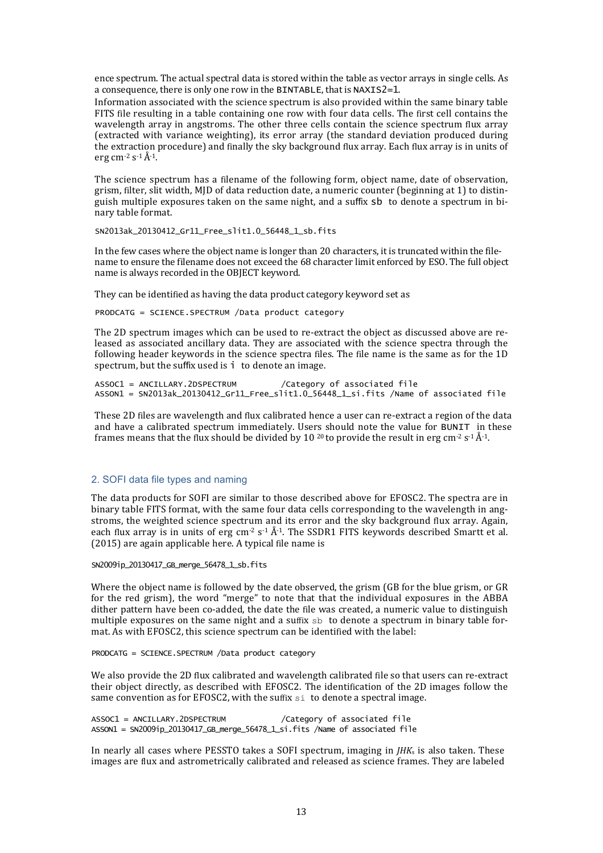ence spectrum. The actual spectral data is stored within the table as vector arrays in single cells. As a consequence, there is only one row in the BINTABLE, that is NAXIS2=1.

Information associated with the science spectrum is also provided within the same binary table FITS file resulting in a table containing one row with four data cells. The first cell contains the wavelength array in angstroms. The other three cells contain the science spectrum flux array (extracted with variance weighting), its error array (the standard deviation produced during the extraction procedure) and finally the sky background flux array. Each flux array is in units of erg cm<sup>-2</sup> s<sup>-1</sup> $\AA$ <sup>-1</sup>.

The science spectrum has a filename of the following form, object name, date of observation, grism, filter, slit width, MID of data reduction date, a numeric counter (beginning at 1) to distinguish multiple exposures taken on the same night, and a suffix sb to denote a spectrum in binary table format.

SN2013ak\_20130412\_Gr11\_Free\_slit1.0\_56448\_1\_sb.fits

In the few cases where the object name is longer than 20 characters, it is truncated within the filename to ensure the filename does not exceed the 68 character limit enforced by ESO. The full object name is always recorded in the OBJECT keyword.

They can be identified as having the data product category keyword set as

PRODCATG = SCIENCE.SPECTRUM /Data product category

The 2D spectrum images which can be used to re-extract the object as discussed above are released as associated ancillary data. They are associated with the science spectra through the following header keywords in the science spectra files. The file name is the same as for the 1D spectrum, but the suffix used is  $\mathbf{i}$  to denote an image.

ASSOC1 = ANCILLARY.2DSPECTRUM /Category of associated file ASSON1 = SN2013ak\_20130412\_Gr11\_Free\_slit1.0\_56448\_1\_si.fits /Name of associated file

These 2D files are wavelength and flux calibrated hence a user can re-extract a region of the data and have a calibrated spectrum immediately. Users should note the value for BUNIT in these frames means that the flux should be divided by 10 <sup>20</sup> to provide the result in erg cm<sup>-2</sup> s<sup>-1</sup> Å<sup>-1</sup>.

#### 2. SOFI data file types and naming

The data products for SOFI are similar to those described above for EFOSC2. The spectra are in binary table FITS format, with the same four data cells corresponding to the wavelength in angstroms, the weighted science spectrum and its error and the sky background flux array. Again, each flux array is in units of erg cm<sup>-2</sup> s<sup>-1</sup> Å<sup>-1</sup>. The SSDR1 FITS keywords described Smartt et al.  $(2015)$  are again applicable here. A typical file name is

SN2009ip\_20130417\_GB\_merge\_56478\_1\_sb.fits

Where the object name is followed by the date observed, the grism  $(GB$  for the blue grism, or  $GR$ for the red grism), the word "merge" to note that that the individual exposures in the ABBA dither pattern have been co-added, the date the file was created, a numeric value to distinguish multiple exposures on the same night and a suffix  $sb$  to denote a spectrum in binary table format. As with EFOSC2, this science spectrum can be identified with the label:

PRODCATG = SCIENCE.SPECTRUM /Data product category

We also provide the 2D flux calibrated and wavelength calibrated file so that users can re-extract their object directly, as described with EFOSC2. The identification of the 2D images follow the same convention as for EFOSC2, with the suffix  $s$ <sup>i</sup> to denote a spectral image.

ASSOC1 = ANCILLARY.2DSPECTRUM /Category of associated file  $ASSON1 = SN2009ip_20130417_GB_m$  merge\_56478\_1\_si.fits /Name of associated file

In nearly all cases where PESSTO takes a SOFI spectrum, imaging in  $IHK_s$  is also taken. These images are flux and astrometrically calibrated and released as science frames. They are labeled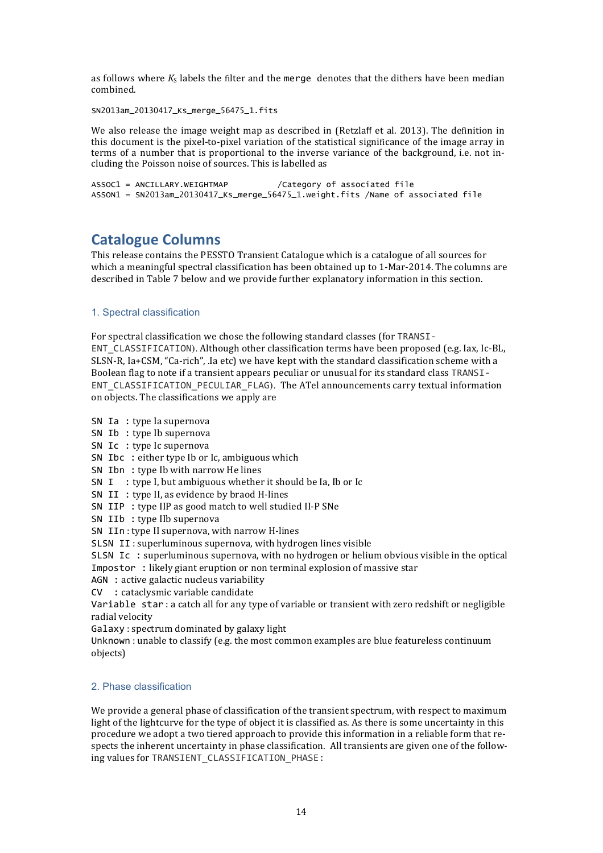as follows where  $K_S$  labels the filter and the merge denotes that the dithers have been median combined.

SN2013am\_20130417\_Ks\_merge\_56475\_1.fits

We also release the image weight map as described in (Retzlaff et al. 2013). The definition in this document is the pixel-to-pixel variation of the statistical significance of the image array in terms of a number that is proportional to the inverse variance of the background, i.e. not including the Poisson noise of sources. This is labelled as

```
ASSOC1 = ANCILLARY.WEIGHTMAP /Category of associated file
ASSON1 = SN2013am_20130417_Ks_merge_56475_1.weight.fits /Name of associated file
```
## **Catalogue Columns**

This release contains the PESSTO Transient Catalogue which is a catalogue of all sources for which a meaningful spectral classification has been obtained up to 1-Mar-2014. The columns are described in Table 7 below and we provide further explanatory information in this section.

### 1. Spectral classification

For spectral classification we chose the following standard classes (for TRANSI-ENT CLASSIFICATION). Although other classification terms have been proposed (e.g. Iax, Ic-BL, SLSN-R,  $Ia+CSM$ , "Ca-rich", .Ia etc) we have kept with the standard classification scheme with a Boolean flag to note if a transient appears peculiar or unusual for its standard class TRANSI-ENT\_CLASSIFICATION\_PECULIAR\_FLAG). The ATel announcements carry textual information on objects. The classifications we apply are

- SN Ia : type la supernova
- SN Ib : type Ib supernova
- SN Ic : type Ic supernova
- SN Ibc : either type Ib or Ic, ambiguous which
- SN Ibn : type Ib with narrow He lines
- SN  $I$  : type I, but ambiguous whether it should be Ia, Ib or Ic
- SN II : type II, as evidence by braod H-lines
- SN IIP : type IIP as good match to well studied II-P SNe
- SN IIb : type IIb supernova
- SN IIn : type II supernova, with narrow H-lines
- SLSN II: superluminous supernova, with hydrogen lines visible

SLSN Ic : superluminous supernova, with no hydrogen or helium obvious visible in the optical Impostor : likely giant eruption or non terminal explosion of massive star

- $AGN$ : active galactic nucleus variability
- CV : cataclysmic variable candidate

Variable star : a catch all for any type of variable or transient with zero redshift or negligible radial velocity

Galaxy : spectrum dominated by galaxy light

Unknown : unable to classify (e.g. the most common examples are blue featureless continuum objects)

### 2. Phase classification

We provide a general phase of classification of the transient spectrum, with respect to maximum light of the lightcurve for the type of object it is classified as. As there is some uncertainty in this procedure we adopt a two tiered approach to provide this information in a reliable form that respects the inherent uncertainty in phase classification. All transients are given one of the following values for TRANSIENT\_CLASSIFICATION\_PHASE: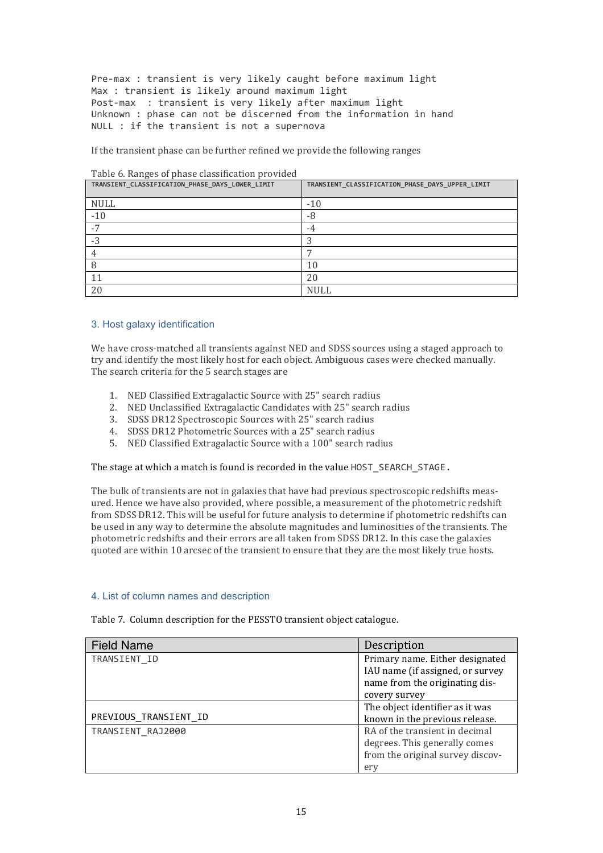Pre-max : transient is very likely caught before maximum light Max : transient is likely around maximum light Post-max : transient is very likely after maximum light Unknown : phase can not be discerned from the information in hand NULL : if the transient is not a supernova

If the transient phase can be further refined we provide the following ranges

| Table 6. Ranges of phase classification provided<br>TRANSIENT CLASSIFICATION PHASE DAYS LOWER LIMIT | TRANSIENT_CLASSIFICATION_PHASE_DAYS_UPPER_LIMIT |
|-----------------------------------------------------------------------------------------------------|-------------------------------------------------|
|                                                                                                     |                                                 |
| <b>NULL</b>                                                                                         | $-10$                                           |
| $-10$                                                                                               | -8                                              |
| 7                                                                                                   | -4                                              |
| $-3$                                                                                                |                                                 |
|                                                                                                     |                                                 |
|                                                                                                     | 10                                              |
| 11                                                                                                  | 20                                              |
| 20                                                                                                  | <b>NULL</b>                                     |

## Table 6. Ranges of phase classification provided

### 3. Host galaxy identification

We have cross-matched all transients against NED and SDSS sources using a staged approach to try and identify the most likely host for each object. Ambiguous cases were checked manually. The search criteria for the 5 search stages are

- 1. NED Classified Extragalactic Source with 25" search radius
- 2. NED Unclassified Extragalactic Candidates with 25" search radius
- 3. SDSS DR12 Spectroscopic Sources with 25" search radius
- 4. SDSS DR12 Photometric Sources with a 25" search radius
- 5. NED Classified Extragalactic Source with a 100" search radius

The stage at which a match is found is recorded in the value HOST\_SEARCH\_STAGE.

The bulk of transients are not in galaxies that have had previous spectroscopic redshifts measured. Hence we have also provided, where possible, a measurement of the photometric redshift from SDSS DR12. This will be useful for future analysis to determine if photometric redshifts can be used in any way to determine the absolute magnitudes and luminosities of the transients. The photometric redshifts and their errors are all taken from SDSS DR12. In this case the galaxies quoted are within 10 arcsec of the transient to ensure that they are the most likely true hosts.

### 4. List of column names and description

| Table 7. Column description for the PESSTO transient object catalogue. |  |  |
|------------------------------------------------------------------------|--|--|
|                                                                        |  |  |

| <b>Field Name</b>     | Description                      |
|-----------------------|----------------------------------|
| TRANSIENT ID          | Primary name. Either designated  |
|                       | IAU name (if assigned, or survey |
|                       | name from the originating dis-   |
|                       | covery survey                    |
|                       | The object identifier as it was  |
| PREVIOUS TRANSIENT ID | known in the previous release.   |
| TRANSIENT_RAJ2000     | RA of the transient in decimal   |
|                       | degrees. This generally comes    |
|                       | from the original survey discov- |
|                       | ery                              |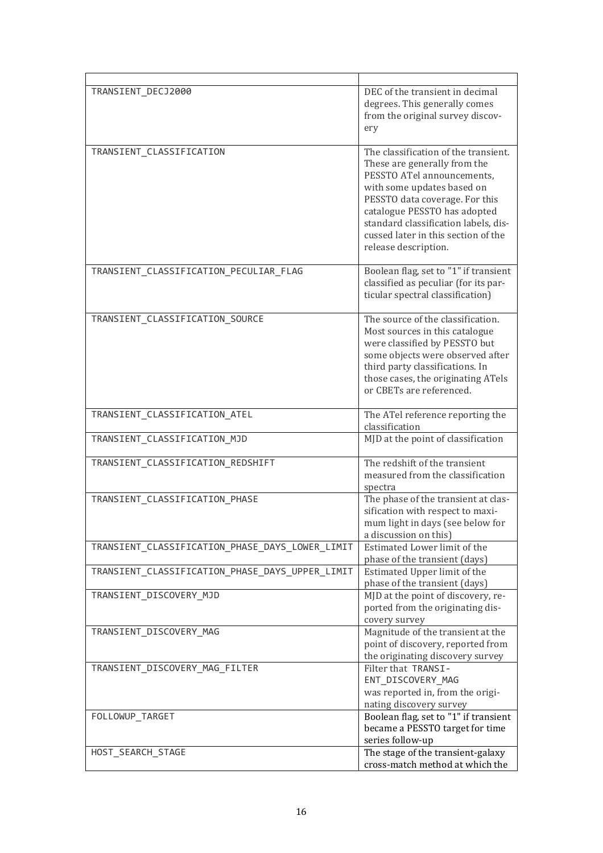| TRANSIENT DECJ2000                              | DEC of the transient in decimal<br>degrees. This generally comes<br>from the original survey discov-<br>ery                                                                                                                                                                                               |
|-------------------------------------------------|-----------------------------------------------------------------------------------------------------------------------------------------------------------------------------------------------------------------------------------------------------------------------------------------------------------|
| TRANSIENT_CLASSIFICATION                        | The classification of the transient.<br>These are generally from the<br>PESSTO ATel announcements,<br>with some updates based on<br>PESSTO data coverage. For this<br>catalogue PESSTO has adopted<br>standard classification labels, dis-<br>cussed later in this section of the<br>release description. |
| TRANSIENT_CLASSIFICATION_PECULIAR_FLAG          | Boolean flag, set to "1" if transient<br>classified as peculiar (for its par-<br>ticular spectral classification)                                                                                                                                                                                         |
| TRANSIENT_CLASSIFICATION_SOURCE                 | The source of the classification.<br>Most sources in this catalogue<br>were classified by PESSTO but<br>some objects were observed after<br>third party classifications. In<br>those cases, the originating ATels<br>or CBETs are referenced.                                                             |
| TRANSIENT_CLASSIFICATION_ATEL                   | The ATel reference reporting the<br>classification                                                                                                                                                                                                                                                        |
| TRANSIENT_CLASSIFICATION_MJD                    | MJD at the point of classification                                                                                                                                                                                                                                                                        |
| TRANSIENT_CLASSIFICATION_REDSHIFT               | The redshift of the transient<br>measured from the classification<br>spectra                                                                                                                                                                                                                              |
| TRANSIENT_CLASSIFICATION_PHASE                  | The phase of the transient at clas-<br>sification with respect to maxi-<br>mum light in days (see below for<br>a discussion on this)                                                                                                                                                                      |
| TRANSIENT_CLASSIFICATION_PHASE_DAYS_LOWER_LIMIT | Estimated Lower limit of the<br>phase of the transient (days)                                                                                                                                                                                                                                             |
| TRANSIENT_CLASSIFICATION_PHASE_DAYS_UPPER_LIMIT | Estimated Upper limit of the<br>phase of the transient (days)                                                                                                                                                                                                                                             |
| TRANSIENT_DISCOVERY_MJD                         | MJD at the point of discovery, re-<br>ported from the originating dis-<br>covery survey                                                                                                                                                                                                                   |
| TRANSIENT DISCOVERY MAG                         | Magnitude of the transient at the<br>point of discovery, reported from<br>the originating discovery survey                                                                                                                                                                                                |
| TRANSIENT_DISCOVERY_MAG_FILTER                  | Filter that TRANSI-<br>ENT_DISCOVERY_MAG<br>was reported in, from the origi-<br>nating discovery survey                                                                                                                                                                                                   |
| FOLLOWUP_TARGET                                 | Boolean flag, set to "1" if transient<br>became a PESSTO target for time<br>series follow-up                                                                                                                                                                                                              |
| HOST_SEARCH_STAGE                               | The stage of the transient-galaxy<br>cross-match method at which the                                                                                                                                                                                                                                      |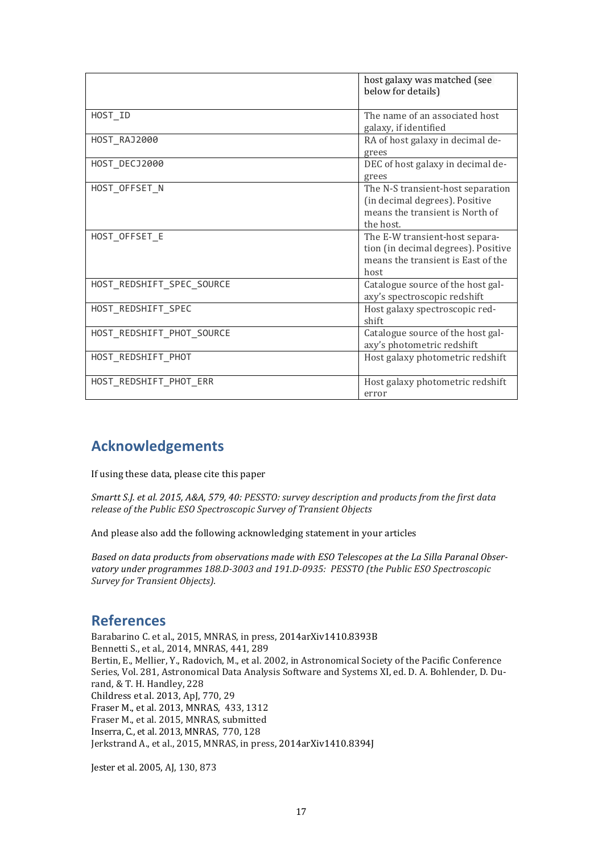|                           | host galaxy was matched (see<br>below for details)                                                                  |
|---------------------------|---------------------------------------------------------------------------------------------------------------------|
| HOST_ID                   | The name of an associated host<br>galaxy, if identified                                                             |
| HOST RAJ2000              | RA of host galaxy in decimal de-<br>grees                                                                           |
| HOST_DECJ2000             | DEC of host galaxy in decimal de-<br>grees                                                                          |
| HOST_OFFSET_N             | The N-S transient-host separation<br>(in decimal degrees). Positive<br>means the transient is North of<br>the host. |
| HOST_OFFSET_E             | The E-W transient-host separa-<br>tion (in decimal degrees). Positive<br>means the transient is East of the<br>host |
| HOST_REDSHIFT_SPEC_SOURCE | Catalogue source of the host gal-<br>axy's spectroscopic redshift                                                   |
| HOST REDSHIFT SPEC        | Host galaxy spectroscopic red-<br>shift                                                                             |
| HOST_REDSHIFT_PHOT_SOURCE | Catalogue source of the host gal-<br>axy's photometric redshift                                                     |
| HOST_REDSHIFT_PHOT        | Host galaxy photometric redshift                                                                                    |
| HOST REDSHIFT PHOT ERR    | Host galaxy photometric redshift<br>error                                                                           |

# **Acknowledgements**

If using these data, please cite this paper

*Smartt S.J. et al. 2015, A&A, 579, 40: PESSTO: survey description and products from the first data release of the Public ESO Spectroscopic Survey of Transient Objects* 

And please also add the following acknowledging statement in your articles

Based on data products from observations made with ESO Telescopes at the La Silla Paranal Observatory under programmes 188.D-3003 and 191.D-0935: PESSTO (the Public ESO Spectroscopic Survey for Transient Objects).

# **References**

Barabarino C. et al., 2015, MNRAS, in press, 2014arXiv1410.8393B Bennetti S., et al., 2014, MNRAS, 441, 289 Bertin, E., Mellier, Y., Radovich, M., et al. 2002, in Astronomical Society of the Pacific Conference Series, Vol. 281, Astronomical Data Analysis Software and Systems XI, ed. D. A. Bohlender, D. Durand, & T. H. Handley, 228 Childress et al. 2013, ApJ, 770, 29 Fraser M., et al. 2013, MNRAS, 433, 1312 Fraser M., et al. 2015, MNRAS, submitted Inserra, C., et al. 2013, MNRAS, 770, 128 Jerkstrand A., et al., 2015, MNRAS, in press, 2014arXiv1410.8394J

Jester et al. 2005, AJ, 130, 873